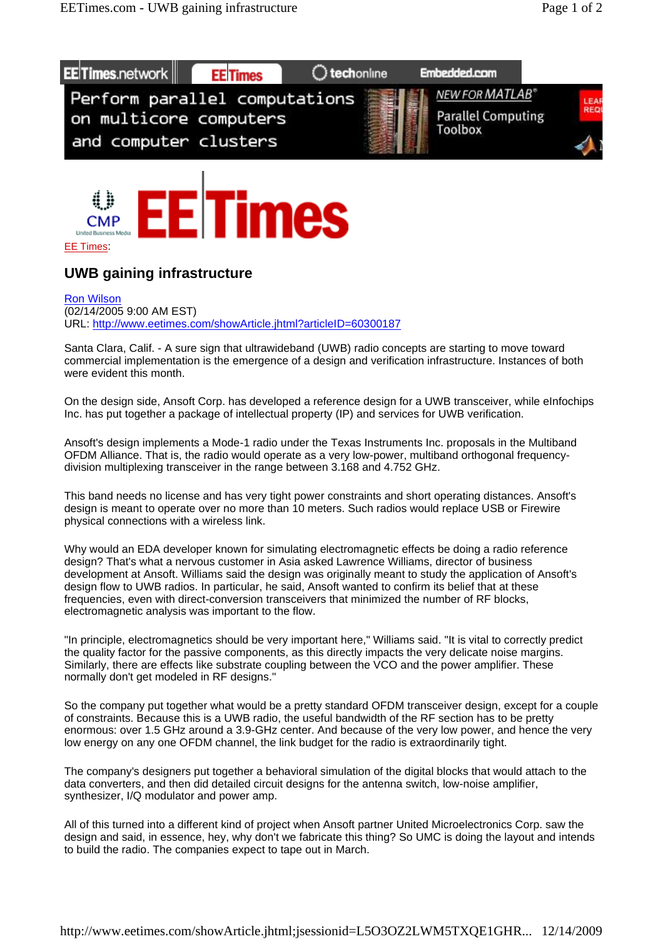



## EE Times:

## **UWB gaining infrastructure**

Ron Wilson (02/14/2005 9:00 AM EST) URL: http://www.eetimes.com/showArticle.jhtml?articleID=60300187

Santa Clara, Calif. - A sure sign that ultrawideband (UWB) radio concepts are starting to move toward commercial implementation is the emergence of a design and verification infrastructure. Instances of both were evident this month.

On the design side, Ansoft Corp. has developed a reference design for a UWB transceiver, while eInfochips Inc. has put together a package of intellectual property (IP) and services for UWB verification.

Ansoft's design implements a Mode-1 radio under the Texas Instruments Inc. proposals in the Multiband OFDM Alliance. That is, the radio would operate as a very low-power, multiband orthogonal frequencydivision multiplexing transceiver in the range between 3.168 and 4.752 GHz.

This band needs no license and has very tight power constraints and short operating distances. Ansoft's design is meant to operate over no more than 10 meters. Such radios would replace USB or Firewire physical connections with a wireless link.

Why would an EDA developer known for simulating electromagnetic effects be doing a radio reference design? That's what a nervous customer in Asia asked Lawrence Williams, director of business development at Ansoft. Williams said the design was originally meant to study the application of Ansoft's design flow to UWB radios. In particular, he said, Ansoft wanted to confirm its belief that at these frequencies, even with direct-conversion transceivers that minimized the number of RF blocks, electromagnetic analysis was important to the flow.

"In principle, electromagnetics should be very important here," Williams said. "It is vital to correctly predict the quality factor for the passive components, as this directly impacts the very delicate noise margins. Similarly, there are effects like substrate coupling between the VCO and the power amplifier. These normally don't get modeled in RF designs."

So the company put together what would be a pretty standard OFDM transceiver design, except for a couple of constraints. Because this is a UWB radio, the useful bandwidth of the RF section has to be pretty enormous: over 1.5 GHz around a 3.9-GHz center. And because of the very low power, and hence the very low energy on any one OFDM channel, the link budget for the radio is extraordinarily tight.

The company's designers put together a behavioral simulation of the digital blocks that would attach to the data converters, and then did detailed circuit designs for the antenna switch, low-noise amplifier, synthesizer, I/Q modulator and power amp.

All of this turned into a different kind of project when Ansoft partner United Microelectronics Corp. saw the design and said, in essence, hey, why don't we fabricate this thing? So UMC is doing the layout and intends to build the radio. The companies expect to tape out in March.